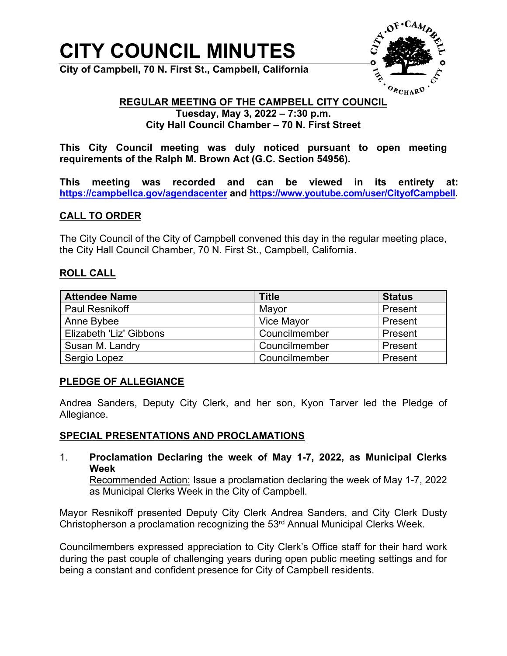# **CITY COUNCIL MINUTES**

**City of Campbell, 70 N. First St., Campbell, California**



#### **REGULAR MEETING OF THE CAMPBELL CITY COUNCIL Tuesday, May 3, 2022 – 7:30 p.m.**

**City Hall Council Chamber – 70 N. First Street**

**This City Council meeting was duly noticed pursuant to open meeting requirements of the Ralph M. Brown Act (G.C. Section 54956).**

**This meeting was recorded and can be viewed in its entirety at: <https://campbellca.gov/agendacenter> and [https://www.youtube.com/user/CityofCampbell.](https://www.youtube.com/user/CityofCampbell)** 

# **CALL TO ORDER**

The City Council of the City of Campbell convened this day in the regular meeting place, the City Hall Council Chamber, 70 N. First St., Campbell, California.

# **ROLL CALL**

| <b>Attendee Name</b>    | <b>Title</b>  | <b>Status</b> |
|-------------------------|---------------|---------------|
| <b>Paul Resnikoff</b>   | Mayor         | Present       |
| Anne Bybee              | Vice Mayor    | Present       |
| Elizabeth 'Liz' Gibbons | Councilmember | Present       |
| Susan M. Landry         | Councilmember | Present       |
| Sergio Lopez            | Councilmember | Present       |

# **PLEDGE OF ALLEGIANCE**

Andrea Sanders, Deputy City Clerk, and her son, Kyon Tarver led the Pledge of Allegiance.

#### **SPECIAL PRESENTATIONS AND PROCLAMATIONS**

1. **Proclamation Declaring the week of May 1-7, 2022, as Municipal Clerks Week**

Recommended Action: Issue a proclamation declaring the week of May 1-7, 2022 as Municipal Clerks Week in the City of Campbell.

Mayor Resnikoff presented Deputy City Clerk Andrea Sanders, and City Clerk Dusty Christopherson a proclamation recognizing the 53<sup>rd</sup> Annual Municipal Clerks Week.

Councilmembers expressed appreciation to City Clerk's Office staff for their hard work during the past couple of challenging years during open public meeting settings and for being a constant and confident presence for City of Campbell residents.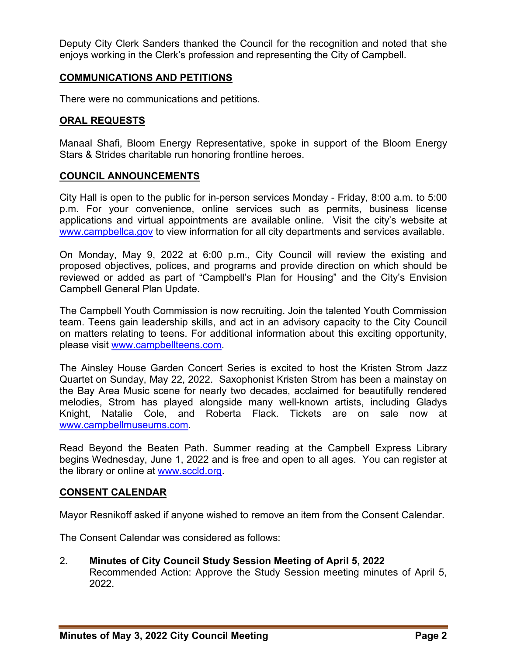Deputy City Clerk Sanders thanked the Council for the recognition and noted that she enjoys working in the Clerk's profession and representing the City of Campbell.

# **COMMUNICATIONS AND PETITIONS**

There were no communications and petitions.

#### **ORAL REQUESTS**

Manaal Shafi, Bloom Energy Representative, spoke in support of the Bloom Energy Stars & Strides charitable run honoring frontline heroes.

#### **COUNCIL ANNOUNCEMENTS**

City Hall is open to the public for in-person services Monday - Friday, 8:00 a.m. to 5:00 p.m. For your convenience, online services such as permits, business license applications and virtual appointments are available online. Visit the city's website at [www.campbellca.gov](http://www.campbellca.gov/) to view information for all city departments and services available.

On Monday, May 9, 2022 at 6:00 p.m., City Council will review the existing and proposed objectives, polices, and programs and provide direction on which should be reviewed or added as part of "Campbell's Plan for Housing" and the City's Envision Campbell General Plan Update.

The Campbell Youth Commission is now recruiting. Join the talented Youth Commission team. Teens gain leadership skills, and act in an advisory capacity to the City Council on matters relating to teens. For additional information about this exciting opportunity, please visit [www.campbellteens.com.](http://www.campbellteens.com/)

The Ainsley House Garden Concert Series is excited to host the Kristen Strom Jazz Quartet on Sunday, May 22, 2022. Saxophonist Kristen Strom has been a mainstay on the Bay Area Music scene for nearly two decades, acclaimed for beautifully rendered melodies, Strom has played alongside many well-known artists, including Gladys Knight, Natalie Cole, and Roberta Flack. Tickets are on sale now at [www.campbellmuseums.com.](http://www.campbellmuseums.com/)

Read Beyond the Beaten Path. Summer reading at the Campbell Express Library begins Wednesday, June 1, 2022 and is free and open to all ages. You can register at the library or online at [www.sccld.org.](http://www.sccld.org/)

#### **CONSENT CALENDAR**

Mayor Resnikoff asked if anyone wished to remove an item from the Consent Calendar.

The Consent Calendar was considered as follows:

2**. Minutes of City Council Study Session Meeting of April 5, 2022** Recommended Action: Approve the Study Session meeting minutes of April 5, 2022.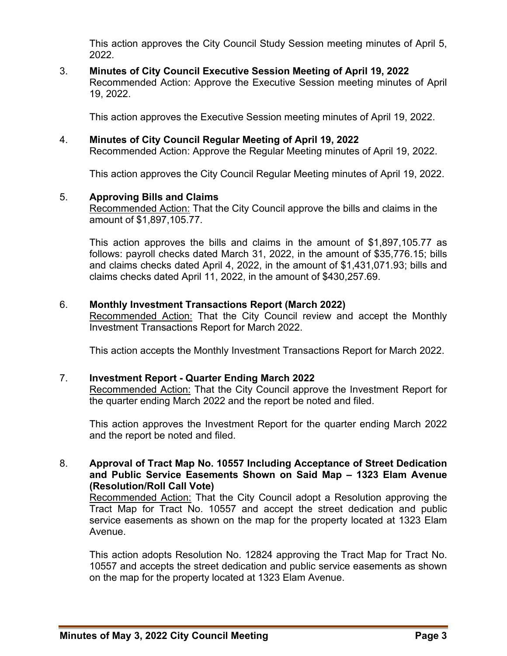This action approves the City Council Study Session meeting minutes of April 5, 2022.

3. **Minutes of City Council Executive Session Meeting of April 19, 2022**  Recommended Action: Approve the Executive Session meeting minutes of April 19, 2022.

This action approves the Executive Session meeting minutes of April 19, 2022.

4. **Minutes of City Council Regular Meeting of April 19, 2022**

Recommended Action: Approve the Regular Meeting minutes of April 19, 2022.

This action approves the City Council Regular Meeting minutes of April 19, 2022.

# 5. **Approving Bills and Claims**

Recommended Action: That the City Council approve the bills and claims in the amount of \$1,897,105.77.

This action approves the bills and claims in the amount of \$1,897,105.77 as follows: payroll checks dated March 31, 2022, in the amount of \$35,776.15; bills and claims checks dated April 4, 2022, in the amount of \$1,431,071.93; bills and claims checks dated April 11, 2022, in the amount of \$430,257.69.

#### 6. **Monthly Investment Transactions Report (March 2022)**

Recommended Action: That the City Council review and accept the Monthly Investment Transactions Report for March 2022.

This action accepts the Monthly Investment Transactions Report for March 2022.

#### 7. **Investment Report - Quarter Ending March 2022**

Recommended Action: That the City Council approve the Investment Report for the quarter ending March 2022 and the report be noted and filed.

This action approves the Investment Report for the quarter ending March 2022 and the report be noted and filed.

#### 8. **Approval of Tract Map No. 10557 Including Acceptance of Street Dedication and Public Service Easements Shown on Said Map – 1323 Elam Avenue (Resolution/Roll Call Vote)**

Recommended Action: That the City Council adopt a Resolution approving the Tract Map for Tract No. 10557 and accept the street dedication and public service easements as shown on the map for the property located at 1323 Elam Avenue.

This action adopts Resolution No. 12824 approving the Tract Map for Tract No. 10557 and accepts the street dedication and public service easements as shown on the map for the property located at 1323 Elam Avenue.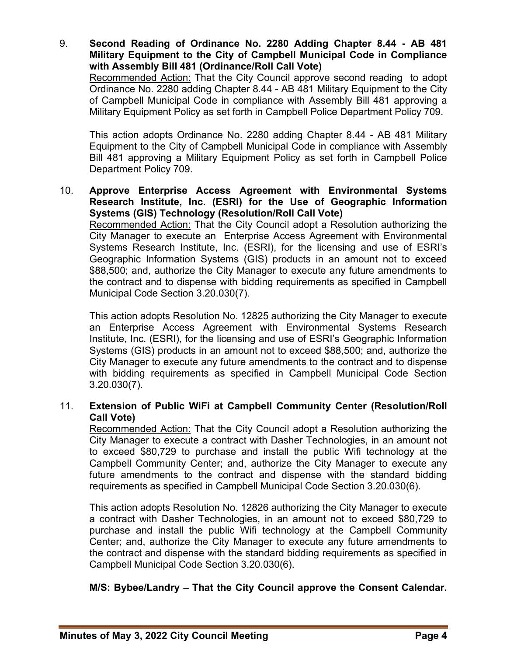9. **Second Reading of Ordinance No. 2280 Adding Chapter 8.44 - AB 481 Military Equipment to the City of Campbell Municipal Code in Compliance with Assembly Bill 481 (Ordinance/Roll Call Vote)**

Recommended Action: That the City Council approve second reading to adopt Ordinance No. 2280 adding Chapter 8.44 - AB 481 Military Equipment to the City of Campbell Municipal Code in compliance with Assembly Bill 481 approving a Military Equipment Policy as set forth in Campbell Police Department Policy 709.

This action adopts Ordinance No. 2280 adding Chapter 8.44 - AB 481 Military Equipment to the City of Campbell Municipal Code in compliance with Assembly Bill 481 approving a Military Equipment Policy as set forth in Campbell Police Department Policy 709.

#### 10. **Approve Enterprise Access Agreement with Environmental Systems Research Institute, Inc. (ESRI) for the Use of Geographic Information Systems (GIS) Technology (Resolution/Roll Call Vote)**

Recommended Action: That the City Council adopt a Resolution authorizing the City Manager to execute an Enterprise Access Agreement with Environmental Systems Research Institute, Inc. (ESRI), for the licensing and use of ESRI's Geographic Information Systems (GIS) products in an amount not to exceed \$88,500; and, authorize the City Manager to execute any future amendments to the contract and to dispense with bidding requirements as specified in Campbell Municipal Code Section 3.20.030(7).

This action adopts Resolution No. 12825 authorizing the City Manager to execute an Enterprise Access Agreement with Environmental Systems Research Institute, Inc. (ESRI), for the licensing and use of ESRI's Geographic Information Systems (GIS) products in an amount not to exceed \$88,500; and, authorize the City Manager to execute any future amendments to the contract and to dispense with bidding requirements as specified in Campbell Municipal Code Section 3.20.030(7).

# 11. **Extension of Public WiFi at Campbell Community Center (Resolution/Roll Call Vote)**

Recommended Action: That the City Council adopt a Resolution authorizing the City Manager to execute a contract with Dasher Technologies, in an amount not to exceed \$80,729 to purchase and install the public Wifi technology at the Campbell Community Center; and, authorize the City Manager to execute any future amendments to the contract and dispense with the standard bidding requirements as specified in Campbell Municipal Code Section 3.20.030(6).

This action adopts Resolution No. 12826 authorizing the City Manager to execute a contract with Dasher Technologies, in an amount not to exceed \$80,729 to purchase and install the public Wifi technology at the Campbell Community Center; and, authorize the City Manager to execute any future amendments to the contract and dispense with the standard bidding requirements as specified in Campbell Municipal Code Section 3.20.030(6).

# **M/S: Bybee/Landry – That the City Council approve the Consent Calendar.**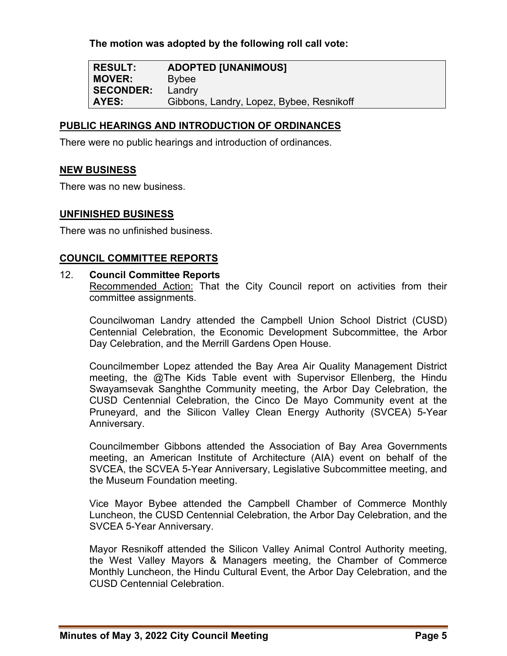**The motion was adopted by the following roll call vote:** 

**RESULT: ADOPTED [UNANIMOUS] MOVER:** Bybee **SECONDER:** Landry **AYES:** Gibbons, Landry, Lopez, Bybee, Resnikoff

#### **PUBLIC HEARINGS AND INTRODUCTION OF ORDINANCES**

There were no public hearings and introduction of ordinances.

#### **NEW BUSINESS**

There was no new business.

#### **UNFINISHED BUSINESS**

There was no unfinished business.

#### **COUNCIL COMMITTEE REPORTS**

#### 12. **Council Committee Reports**

Recommended Action: That the City Council report on activities from their committee assignments.

Councilwoman Landry attended the Campbell Union School District (CUSD) Centennial Celebration, the Economic Development Subcommittee, the Arbor Day Celebration, and the Merrill Gardens Open House.

Councilmember Lopez attended the Bay Area Air Quality Management District meeting, the @The Kids Table event with Supervisor Ellenberg, the Hindu Swayamsevak Sanghthe Community meeting, the Arbor Day Celebration, the CUSD Centennial Celebration, the Cinco De Mayo Community event at the Pruneyard, and the Silicon Valley Clean Energy Authority (SVCEA) 5-Year Anniversary.

Councilmember Gibbons attended the Association of Bay Area Governments meeting, an American Institute of Architecture (AIA) event on behalf of the SVCEA, the SCVEA 5-Year Anniversary, Legislative Subcommittee meeting, and the Museum Foundation meeting.

Vice Mayor Bybee attended the Campbell Chamber of Commerce Monthly Luncheon, the CUSD Centennial Celebration, the Arbor Day Celebration, and the SVCEA 5-Year Anniversary.

Mayor Resnikoff attended the Silicon Valley Animal Control Authority meeting, the West Valley Mayors & Managers meeting, the Chamber of Commerce Monthly Luncheon, the Hindu Cultural Event, the Arbor Day Celebration, and the CUSD Centennial Celebration.